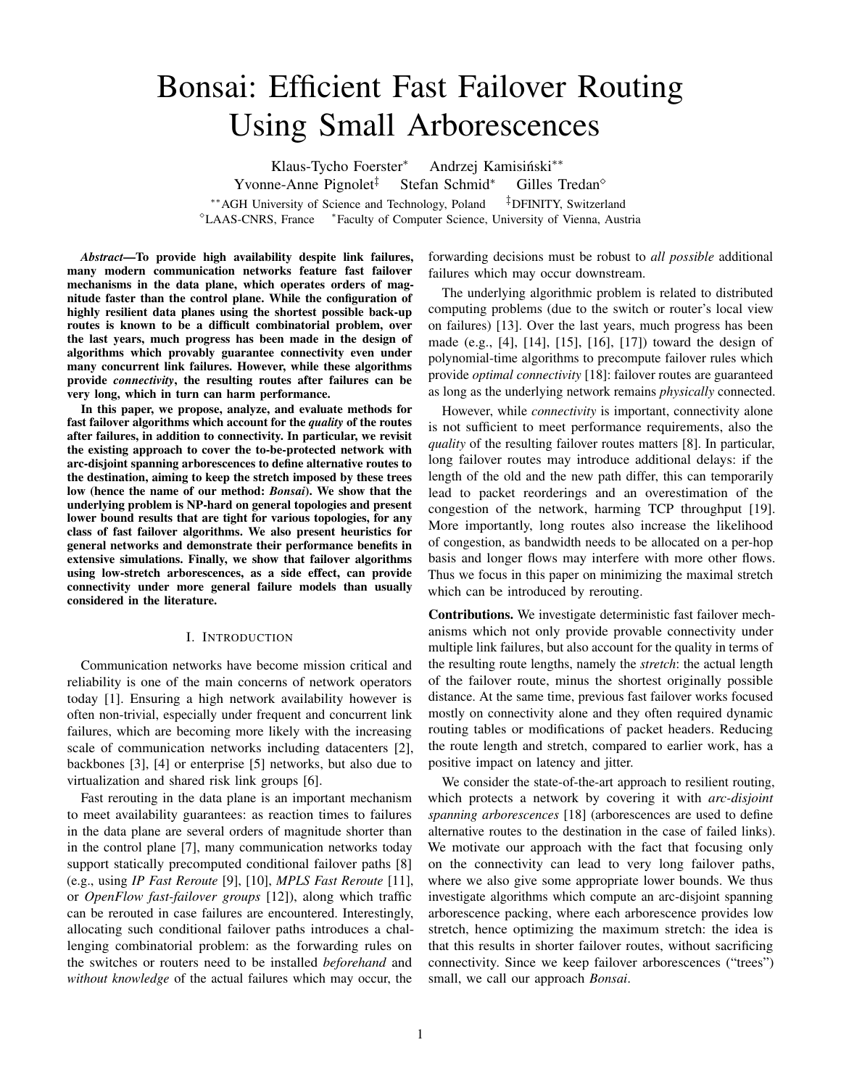# Bonsai: Efficient Fast Failover Routing Using Small Arborescences

Klaus-Tycho Foerster<sup>\*</sup> Andrzej Kamisiński\*\* Yvonne-Anne Pignolet<sup>‡</sup> Stefan Schmid<sup>∗</sup> Gilles Tredan<sup>◇</sup> ∗∗AGH University of Science and Technology, Poland ‡DFINITY, Switzerland <sup>⋄</sup>LAAS-CNRS, France <sup>∗</sup> Faculty of Computer Science, University of Vienna, Austria

*Abstract*—To provide high availability despite link failures, many modern communication networks feature fast failover mechanisms in the data plane, which operates orders of magnitude faster than the control plane. While the configuration of highly resilient data planes using the shortest possible back-up routes is known to be a difficult combinatorial problem, over the last years, much progress has been made in the design of algorithms which provably guarantee connectivity even under many concurrent link failures. However, while these algorithms provide *connectivity*, the resulting routes after failures can be very long, which in turn can harm performance.

In this paper, we propose, analyze, and evaluate methods for fast failover algorithms which account for the *quality* of the routes after failures, in addition to connectivity. In particular, we revisit the existing approach to cover the to-be-protected network with arc-disjoint spanning arborescences to define alternative routes to the destination, aiming to keep the stretch imposed by these trees low (hence the name of our method: *Bonsai*). We show that the underlying problem is NP-hard on general topologies and present lower bound results that are tight for various topologies, for any class of fast failover algorithms. We also present heuristics for general networks and demonstrate their performance benefits in extensive simulations. Finally, we show that failover algorithms using low-stretch arborescences, as a side effect, can provide connectivity under more general failure models than usually considered in the literature.

#### I. INTRODUCTION

Communication networks have become mission critical and reliability is one of the main concerns of network operators today [1]. Ensuring a high network availability however is often non-trivial, especially under frequent and concurrent link failures, which are becoming more likely with the increasing scale of communication networks including datacenters [2], backbones [3], [4] or enterprise [5] networks, but also due to virtualization and shared risk link groups [6].

Fast rerouting in the data plane is an important mechanism to meet availability guarantees: as reaction times to failures in the data plane are several orders of magnitude shorter than in the control plane [7], many communication networks today support statically precomputed conditional failover paths [8] (e.g., using *IP Fast Reroute* [9], [10], *MPLS Fast Reroute* [11], or *OpenFlow fast-failover groups* [12]), along which traffic can be rerouted in case failures are encountered. Interestingly, allocating such conditional failover paths introduces a challenging combinatorial problem: as the forwarding rules on the switches or routers need to be installed *beforehand* and *without knowledge* of the actual failures which may occur, the

forwarding decisions must be robust to *all possible* additional failures which may occur downstream.

The underlying algorithmic problem is related to distributed computing problems (due to the switch or router's local view on failures) [13]. Over the last years, much progress has been made (e.g., [4], [14], [15], [16], [17]) toward the design of polynomial-time algorithms to precompute failover rules which provide *optimal connectivity* [18]: failover routes are guaranteed as long as the underlying network remains *physically* connected.

However, while *connectivity* is important, connectivity alone is not sufficient to meet performance requirements, also the *quality* of the resulting failover routes matters [8]. In particular, long failover routes may introduce additional delays: if the length of the old and the new path differ, this can temporarily lead to packet reorderings and an overestimation of the congestion of the network, harming TCP throughput [19]. More importantly, long routes also increase the likelihood of congestion, as bandwidth needs to be allocated on a per-hop basis and longer flows may interfere with more other flows. Thus we focus in this paper on minimizing the maximal stretch which can be introduced by rerouting.

Contributions. We investigate deterministic fast failover mechanisms which not only provide provable connectivity under multiple link failures, but also account for the quality in terms of the resulting route lengths, namely the *stretch*: the actual length of the failover route, minus the shortest originally possible distance. At the same time, previous fast failover works focused mostly on connectivity alone and they often required dynamic routing tables or modifications of packet headers. Reducing the route length and stretch, compared to earlier work, has a positive impact on latency and jitter.

We consider the state-of-the-art approach to resilient routing, which protects a network by covering it with *arc-disjoint spanning arborescences* [18] (arborescences are used to define alternative routes to the destination in the case of failed links). We motivate our approach with the fact that focusing only on the connectivity can lead to very long failover paths, where we also give some appropriate lower bounds. We thus investigate algorithms which compute an arc-disjoint spanning arborescence packing, where each arborescence provides low stretch, hence optimizing the maximum stretch: the idea is that this results in shorter failover routes, without sacrificing connectivity. Since we keep failover arborescences ("trees") small, we call our approach *Bonsai*.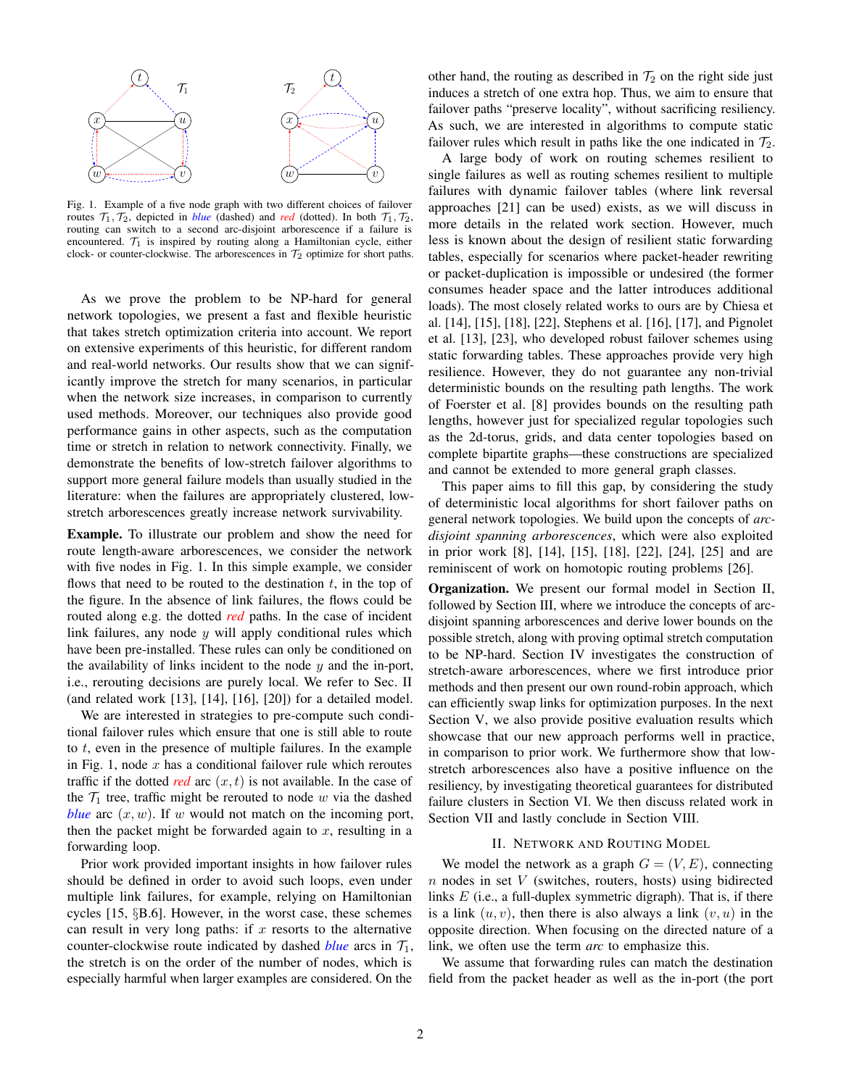

Fig. 1. Example of a five node graph with two different choices of failover routes  $\mathcal{T}_1$ ,  $\mathcal{T}_2$ , depicted in *blue* (dashed) and *red* (dotted). In both  $\mathcal{T}_1$ ,  $\mathcal{T}_2$ , routing can switch to a second arc-disjoint arborescence if a failure is encountered.  $\mathcal{T}_1$  is inspired by routing along a Hamiltonian cycle, either clock- or counter-clockwise. The arborescences in  $\mathcal{T}_2$  optimize for short paths.

As we prove the problem to be NP-hard for general network topologies, we present a fast and flexible heuristic that takes stretch optimization criteria into account. We report on extensive experiments of this heuristic, for different random and real-world networks. Our results show that we can significantly improve the stretch for many scenarios, in particular when the network size increases, in comparison to currently used methods. Moreover, our techniques also provide good performance gains in other aspects, such as the computation time or stretch in relation to network connectivity. Finally, we demonstrate the benefits of low-stretch failover algorithms to support more general failure models than usually studied in the literature: when the failures are appropriately clustered, lowstretch arborescences greatly increase network survivability.

Example. To illustrate our problem and show the need for route length-aware arborescences, we consider the network with five nodes in Fig. 1. In this simple example, we consider flows that need to be routed to the destination  $t$ , in the top of the figure. In the absence of link failures, the flows could be routed along e.g. the dotted *red* paths. In the case of incident link failures, any node  $y$  will apply conditional rules which have been pre-installed. These rules can only be conditioned on the availability of links incident to the node  $y$  and the in-port, i.e., rerouting decisions are purely local. We refer to Sec. II (and related work [13], [14], [16], [20]) for a detailed model.

We are interested in strategies to pre-compute such conditional failover rules which ensure that one is still able to route to  $t$ , even in the presence of multiple failures. In the example in Fig. 1, node  $x$  has a conditional failover rule which reroutes traffic if the dotted *red* arc  $(x, t)$  is not available. In the case of the  $\mathcal{T}_1$  tree, traffic might be rerouted to node w via the dashed *blue* arc  $(x, w)$ . If w would not match on the incoming port, then the packet might be forwarded again to  $x$ , resulting in a forwarding loop.

Prior work provided important insights in how failover rules should be defined in order to avoid such loops, even under multiple link failures, for example, relying on Hamiltonian cycles [15, §B.6]. However, in the worst case, these schemes can result in very long paths: if  $x$  resorts to the alternative counter-clockwise route indicated by dashed *blue* arcs in  $\mathcal{T}_1$ , the stretch is on the order of the number of nodes, which is especially harmful when larger examples are considered. On the

other hand, the routing as described in  $\mathcal{T}_2$  on the right side just induces a stretch of one extra hop. Thus, we aim to ensure that failover paths "preserve locality", without sacrificing resiliency. As such, we are interested in algorithms to compute static failover rules which result in paths like the one indicated in  $\mathcal{T}_2$ .

A large body of work on routing schemes resilient to single failures as well as routing schemes resilient to multiple failures with dynamic failover tables (where link reversal approaches [21] can be used) exists, as we will discuss in more details in the related work section. However, much less is known about the design of resilient static forwarding tables, especially for scenarios where packet-header rewriting or packet-duplication is impossible or undesired (the former consumes header space and the latter introduces additional loads). The most closely related works to ours are by Chiesa et al. [14], [15], [18], [22], Stephens et al. [16], [17], and Pignolet et al. [13], [23], who developed robust failover schemes using static forwarding tables. These approaches provide very high resilience. However, they do not guarantee any non-trivial deterministic bounds on the resulting path lengths. The work of Foerster et al. [8] provides bounds on the resulting path lengths, however just for specialized regular topologies such as the 2d-torus, grids, and data center topologies based on complete bipartite graphs—these constructions are specialized and cannot be extended to more general graph classes.

This paper aims to fill this gap, by considering the study of deterministic local algorithms for short failover paths on general network topologies. We build upon the concepts of *arcdisjoint spanning arborescences*, which were also exploited in prior work [8], [14], [15], [18], [22], [24], [25] and are reminiscent of work on homotopic routing problems [26].

Organization. We present our formal model in Section II, followed by Section III, where we introduce the concepts of arcdisjoint spanning arborescences and derive lower bounds on the possible stretch, along with proving optimal stretch computation to be NP-hard. Section IV investigates the construction of stretch-aware arborescences, where we first introduce prior methods and then present our own round-robin approach, which can efficiently swap links for optimization purposes. In the next Section V, we also provide positive evaluation results which showcase that our new approach performs well in practice, in comparison to prior work. We furthermore show that lowstretch arborescences also have a positive influence on the resiliency, by investigating theoretical guarantees for distributed failure clusters in Section VI. We then discuss related work in Section VII and lastly conclude in Section VIII.

# II. NETWORK AND ROUTING MODEL

We model the network as a graph  $G = (V, E)$ , connecting  $n$  nodes in set  $V$  (switches, routers, hosts) using bidirected links  $E$  (i.e., a full-duplex symmetric digraph). That is, if there is a link  $(u, v)$ , then there is also always a link  $(v, u)$  in the opposite direction. When focusing on the directed nature of a link, we often use the term *arc* to emphasize this.

We assume that forwarding rules can match the destination field from the packet header as well as the in-port (the port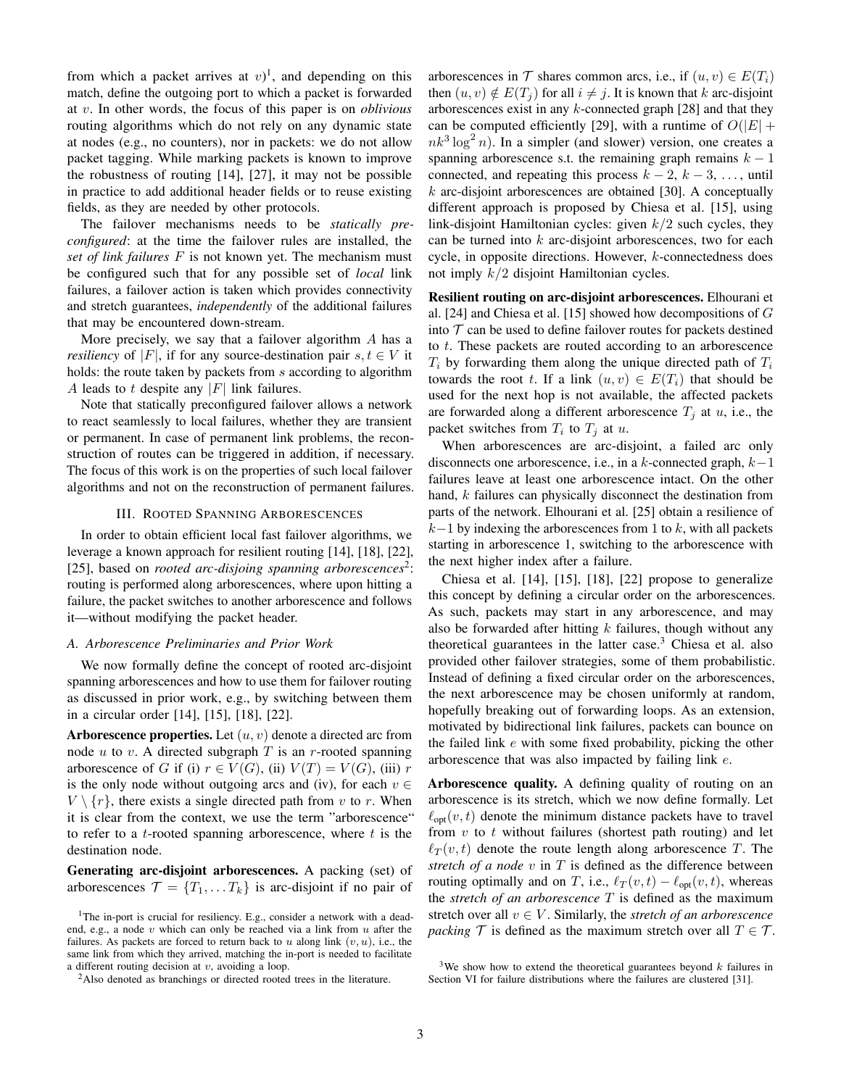from which a packet arrives at  $v$ <sup>1</sup>, and depending on this match, define the outgoing port to which a packet is forwarded at v. In other words, the focus of this paper is on *oblivious* routing algorithms which do not rely on any dynamic state at nodes (e.g., no counters), nor in packets: we do not allow packet tagging. While marking packets is known to improve the robustness of routing [14], [27], it may not be possible in practice to add additional header fields or to reuse existing fields, as they are needed by other protocols.

The failover mechanisms needs to be *statically preconfigured*: at the time the failover rules are installed, the *set of link failures* F is not known yet. The mechanism must be configured such that for any possible set of *local* link failures, a failover action is taken which provides connectivity and stretch guarantees, *independently* of the additional failures that may be encountered down-stream.

More precisely, we say that a failover algorithm A has a *resiliency* of |F|, if for any source-destination pair  $s, t \in V$  it holds: the route taken by packets from s according to algorithm A leads to t despite any  $|F|$  link failures.

Note that statically preconfigured failover allows a network to react seamlessly to local failures, whether they are transient or permanent. In case of permanent link problems, the reconstruction of routes can be triggered in addition, if necessary. The focus of this work is on the properties of such local failover algorithms and not on the reconstruction of permanent failures.

#### III. ROOTED SPANNING ARBORESCENCES

In order to obtain efficient local fast failover algorithms, we leverage a known approach for resilient routing [14], [18], [22], [25], based on *rooted arc-disjoing spanning arborescences*<sup>2</sup> : routing is performed along arborescences, where upon hitting a failure, the packet switches to another arborescence and follows it—without modifying the packet header.

#### *A. Arborescence Preliminaries and Prior Work*

We now formally define the concept of rooted arc-disjoint spanning arborescences and how to use them for failover routing as discussed in prior work, e.g., by switching between them in a circular order [14], [15], [18], [22].

**Arborescence properties.** Let  $(u, v)$  denote a directed arc from node  $u$  to  $v$ . A directed subgraph  $T$  is an  $r$ -rooted spanning arborescence of G if (i)  $r \in V(G)$ , (ii)  $V(T) = V(G)$ , (iii) r is the only node without outgoing arcs and (iv), for each  $v \in$  $V \setminus \{r\}$ , there exists a single directed path from v to r. When it is clear from the context, we use the term "arborescence" to refer to a t-rooted spanning arborescence, where  $t$  is the destination node.

Generating arc-disjoint arborescences. A packing (set) of arborescences  $\mathcal{T} = \{T_1, \ldots, T_k\}$  is arc-disjoint if no pair of arborescences in  $\mathcal T$  shares common arcs, i.e., if  $(u, v) \in E(T_i)$ then  $(u, v) \notin E(T_i)$  for all  $i \neq j$ . It is known that k arc-disjoint arborescences exist in any k-connected graph [28] and that they can be computed efficiently [29], with a runtime of  $O(|E| + \frac{1}{2})$  $nk^3 \log^2 n$ ). In a simpler (and slower) version, one creates a spanning arborescence s.t. the remaining graph remains  $k - 1$ connected, and repeating this process  $k - 2$ ,  $k - 3$ , ..., until  $k$  arc-disjoint arborescences are obtained [30]. A conceptually different approach is proposed by Chiesa et al. [15], using link-disjoint Hamiltonian cycles: given  $k/2$  such cycles, they can be turned into  $k$  arc-disjoint arborescences, two for each cycle, in opposite directions. However, k-connectedness does not imply  $k/2$  disjoint Hamiltonian cycles.

Resilient routing on arc-disjoint arborescences. Elhourani et al. [24] and Chiesa et al. [15] showed how decompositions of G into  $\mathcal T$  can be used to define failover routes for packets destined to t. These packets are routed according to an arborescence  $T_i$  by forwarding them along the unique directed path of  $T_i$ towards the root t. If a link  $(u, v) \in E(T_i)$  that should be used for the next hop is not available, the affected packets are forwarded along a different arborescence  $T_i$  at u, i.e., the packet switches from  $T_i$  to  $T_j$  at u.

When arborescences are arc-disjoint, a failed arc only disconnects one arborescence, i.e., in a k-connected graph,  $k-1$ failures leave at least one arborescence intact. On the other hand, k failures can physically disconnect the destination from parts of the network. Elhourani et al. [25] obtain a resilience of  $k-1$  by indexing the arborescences from 1 to k, with all packets starting in arborescence 1, switching to the arborescence with the next higher index after a failure.

Chiesa et al. [14], [15], [18], [22] propose to generalize this concept by defining a circular order on the arborescences. As such, packets may start in any arborescence, and may also be forwarded after hitting  $k$  failures, though without any theoretical guarantees in the latter case. $3$  Chiesa et al. also provided other failover strategies, some of them probabilistic. Instead of defining a fixed circular order on the arborescences, the next arborescence may be chosen uniformly at random, hopefully breaking out of forwarding loops. As an extension, motivated by bidirectional link failures, packets can bounce on the failed link e with some fixed probability, picking the other arborescence that was also impacted by failing link e.

Arborescence quality. A defining quality of routing on an arborescence is its stretch, which we now define formally. Let  $\ell_{\text{opt}}(v, t)$  denote the minimum distance packets have to travel from  $v$  to  $t$  without failures (shortest path routing) and let  $\ell_T(v, t)$  denote the route length along arborescence T. The *stretch of a node* v in T is defined as the difference between routing optimally and on T, i.e.,  $\ell_T(v, t) - \ell_{opt}(v, t)$ , whereas the *stretch of an arborescence* T is defined as the maximum stretch over all  $v \in V$ . Similarly, the *stretch of an arborescence packing*  $\mathcal{T}$  is defined as the maximum stretch over all  $T \in \mathcal{T}$ .

<sup>&</sup>lt;sup>1</sup>The in-port is crucial for resiliency. E.g., consider a network with a deadend, e.g., a node  $v$  which can only be reached via a link from  $u$  after the failures. As packets are forced to return back to u along link  $(v, u)$ , i.e., the same link from which they arrived, matching the in-port is needed to facilitate a different routing decision at  $v$ , avoiding a loop.

<sup>&</sup>lt;sup>2</sup>Also denoted as branchings or directed rooted trees in the literature.

<sup>&</sup>lt;sup>3</sup>We show how to extend the theoretical guarantees beyond  $k$  failures in Section VI for failure distributions where the failures are clustered [31].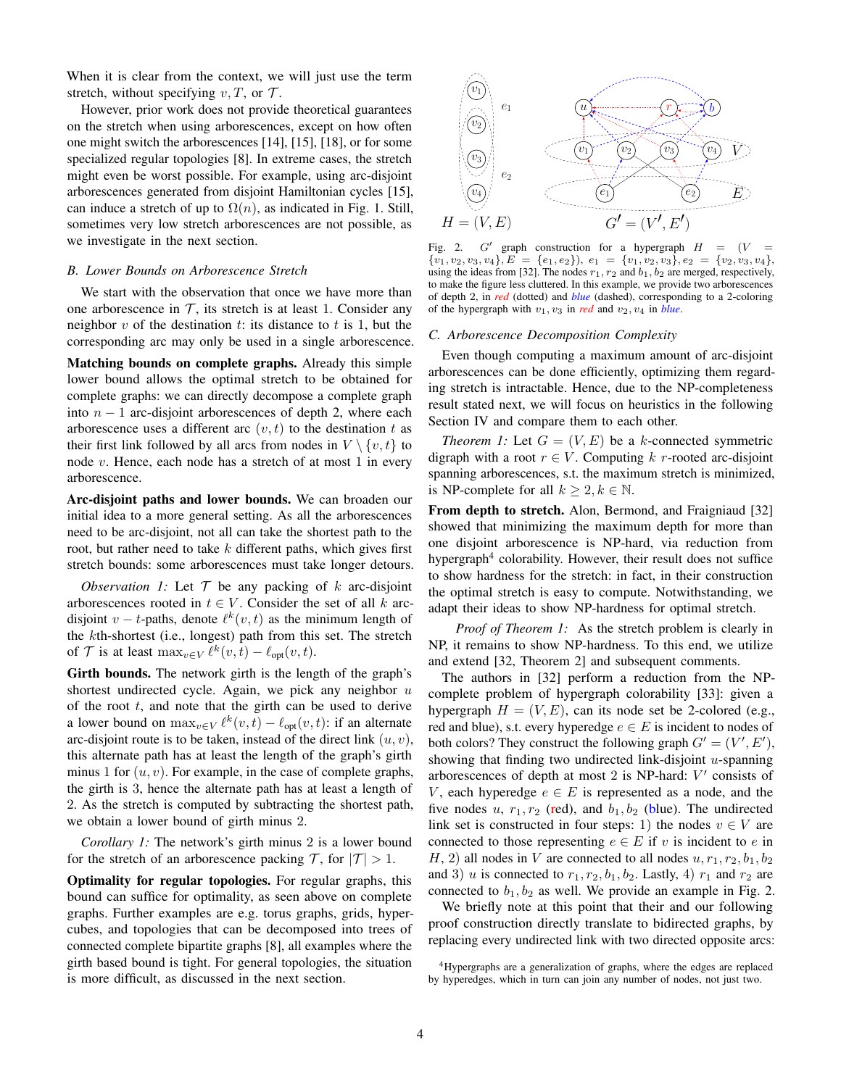When it is clear from the context, we will just use the term stretch, without specifying  $v, T$ , or  $T$ .

However, prior work does not provide theoretical guarantees on the stretch when using arborescences, except on how often one might switch the arborescences [14], [15], [18], or for some specialized regular topologies [8]. In extreme cases, the stretch might even be worst possible. For example, using arc-disjoint arborescences generated from disjoint Hamiltonian cycles [15], can induce a stretch of up to  $\Omega(n)$ , as indicated in Fig. 1. Still, sometimes very low stretch arborescences are not possible, as we investigate in the next section.

### *B. Lower Bounds on Arborescence Stretch*

We start with the observation that once we have more than one arborescence in  $T$ , its stretch is at least 1. Consider any neighbor  $v$  of the destination  $t$ : its distance to  $t$  is 1, but the corresponding arc may only be used in a single arborescence.

Matching bounds on complete graphs. Already this simple lower bound allows the optimal stretch to be obtained for complete graphs: we can directly decompose a complete graph into  $n - 1$  arc-disjoint arborescences of depth 2, where each arborescence uses a different arc  $(v, t)$  to the destination t as their first link followed by all arcs from nodes in  $V \setminus \{v, t\}$  to node  $v$ . Hence, each node has a stretch of at most 1 in every arborescence.

Arc-disjoint paths and lower bounds. We can broaden our initial idea to a more general setting. As all the arborescences need to be arc-disjoint, not all can take the shortest path to the root, but rather need to take  $k$  different paths, which gives first stretch bounds: some arborescences must take longer detours.

*Observation 1:* Let  $T$  be any packing of  $k$  arc-disjoint arborescences rooted in  $t \in V$ . Consider the set of all k arcdisjoint  $v - t$ -paths, denote  $\ell^k(v, t)$  as the minimum length of the kth-shortest (i.e., longest) path from this set. The stretch of  $\mathcal T$  is at least  $\max_{v \in V} \ell^k(v, t) - \ell_{\text{opt}}(v, t)$ .

Girth bounds. The network girth is the length of the graph's shortest undirected cycle. Again, we pick any neighbor  $u$ of the root  $t$ , and note that the girth can be used to derive a lower bound on  $\max_{v \in V} \ell^k(v, t) - \ell_{opt}(v, t)$ : if an alternate arc-disjoint route is to be taken, instead of the direct link  $(u, v)$ , this alternate path has at least the length of the graph's girth minus 1 for  $(u, v)$ . For example, in the case of complete graphs, the girth is 3, hence the alternate path has at least a length of 2. As the stretch is computed by subtracting the shortest path, we obtain a lower bound of girth minus 2.

*Corollary 1:* The network's girth minus 2 is a lower bound for the stretch of an arborescence packing  $\mathcal{T}$ , for  $|\mathcal{T}| > 1$ .

Optimality for regular topologies. For regular graphs, this bound can suffice for optimality, as seen above on complete graphs. Further examples are e.g. torus graphs, grids, hypercubes, and topologies that can be decomposed into trees of connected complete bipartite graphs [8], all examples where the girth based bound is tight. For general topologies, the situation is more difficult, as discussed in the next section.



Fig. 2.  $G'$  graph construction for a hypergraph  $H = (V =$  ${v_1, v_2, v_3, v_4}, E = {e_1, e_2}, e_1 = {v_1, v_2, v_3}, e_2 = {v_2, v_3, v_4},$ using the ideas from [32]. The nodes  $r_1, r_2$  and  $b_1, b_2$  are merged, respectively, to make the figure less cluttered. In this example, we provide two arborescences of depth 2, in *red* (dotted) and *blue* (dashed), corresponding to a 2-coloring of the hypergraph with  $v_1, v_3$  in *red* and  $v_2, v_4$  in *blue*.

#### *C. Arborescence Decomposition Complexity*

Even though computing a maximum amount of arc-disjoint arborescences can be done efficiently, optimizing them regarding stretch is intractable. Hence, due to the NP-completeness result stated next, we will focus on heuristics in the following Section IV and compare them to each other.

*Theorem 1:* Let  $G = (V, E)$  be a k-connected symmetric digraph with a root  $r \in V$ . Computing k r-rooted arc-disjoint spanning arborescences, s.t. the maximum stretch is minimized, is NP-complete for all  $k \geq 2, k \in \mathbb{N}$ .

From depth to stretch. Alon, Bermond, and Fraigniaud [32] showed that minimizing the maximum depth for more than one disjoint arborescence is NP-hard, via reduction from hypergraph<sup>4</sup> colorability. However, their result does not suffice to show hardness for the stretch: in fact, in their construction the optimal stretch is easy to compute. Notwithstanding, we adapt their ideas to show NP-hardness for optimal stretch.

*Proof of Theorem 1:* As the stretch problem is clearly in NP, it remains to show NP-hardness. To this end, we utilize and extend [32, Theorem 2] and subsequent comments.

The authors in [32] perform a reduction from the NPcomplete problem of hypergraph colorability [33]: given a hypergraph  $H = (V, E)$ , can its node set be 2-colored (e.g., red and blue), s.t. every hyperedge  $e \in E$  is incident to nodes of both colors? They construct the following graph  $G' = (V', E'),$ showing that finding two undirected link-disjoint  $u$ -spanning arborescences of depth at most  $2$  is NP-hard:  $V'$  consists of V, each hyperedge  $e \in E$  is represented as a node, and the five nodes u,  $r_1, r_2$  (red), and  $b_1, b_2$  (blue). The undirected link set is constructed in four steps: 1) the nodes  $v \in V$  are connected to those representing  $e \in E$  if v is incident to e in H, 2) all nodes in V are connected to all nodes  $u, r_1, r_2, b_1, b_2$ and 3) u is connected to  $r_1, r_2, b_1, b_2$ . Lastly, 4)  $r_1$  and  $r_2$  are connected to  $b_1, b_2$  as well. We provide an example in Fig. 2.

We briefly note at this point that their and our following proof construction directly translate to bidirected graphs, by replacing every undirected link with two directed opposite arcs:

<sup>4</sup>Hypergraphs are a generalization of graphs, where the edges are replaced by hyperedges, which in turn can join any number of nodes, not just two.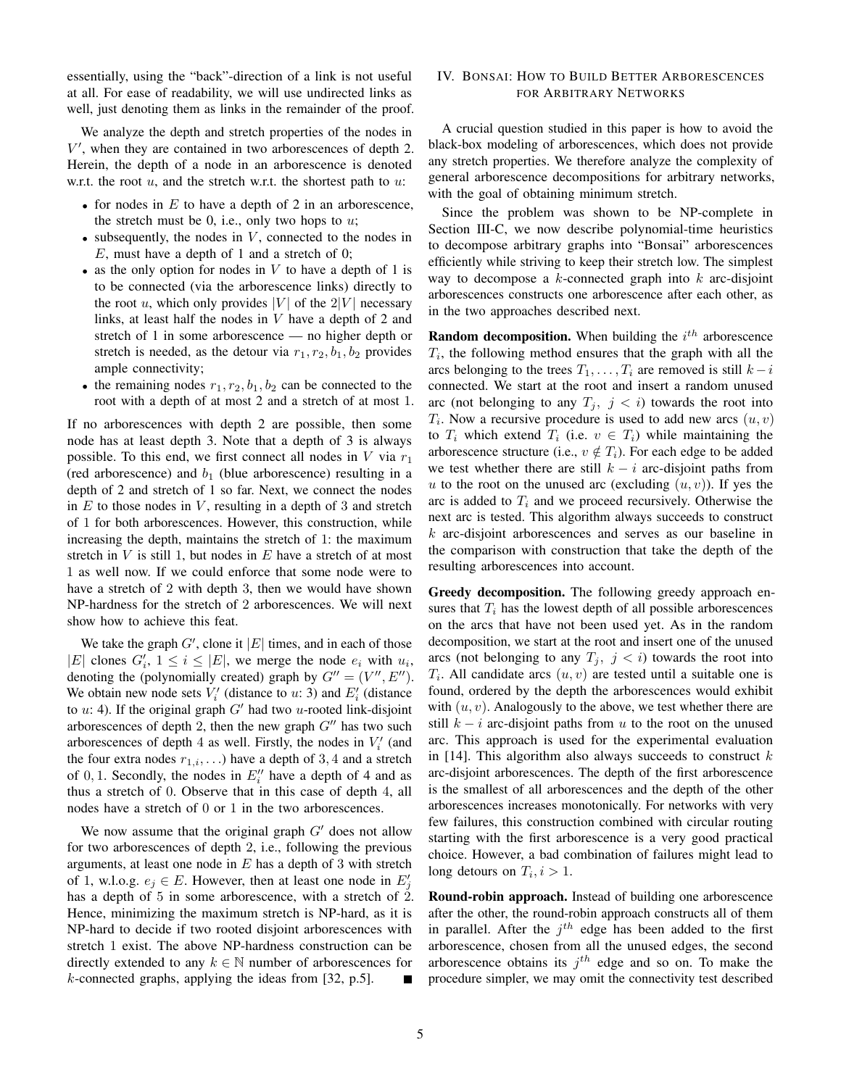essentially, using the "back"-direction of a link is not useful at all. For ease of readability, we will use undirected links as well, just denoting them as links in the remainder of the proof.

We analyze the depth and stretch properties of the nodes in V ′ , when they are contained in two arborescences of depth 2. Herein, the depth of a node in an arborescence is denoted w.r.t. the root  $u$ , and the stretch w.r.t. the shortest path to  $u$ :

- for nodes in  $E$  to have a depth of 2 in an arborescence, the stretch must be 0, i.e., only two hops to  $u$ ;
- subsequently, the nodes in  $V$ , connected to the nodes in  $E$ , must have a depth of 1 and a stretch of 0;
- as the only option for nodes in  $V$  to have a depth of 1 is to be connected (via the arborescence links) directly to the root u, which only provides |V| of the  $2|V|$  necessary links, at least half the nodes in  $V$  have a depth of 2 and stretch of 1 in some arborescence — no higher depth or stretch is needed, as the detour via  $r_1, r_2, b_1, b_2$  provides ample connectivity;
- the remaining nodes  $r_1, r_2, b_1, b_2$  can be connected to the root with a depth of at most 2 and a stretch of at most 1.

If no arborescences with depth 2 are possible, then some node has at least depth 3. Note that a depth of 3 is always possible. To this end, we first connect all nodes in  $V$  via  $r_1$ (red arborescence) and  $b_1$  (blue arborescence) resulting in a depth of 2 and stretch of 1 so far. Next, we connect the nodes in  $E$  to those nodes in  $V$ , resulting in a depth of 3 and stretch of 1 for both arborescences. However, this construction, while increasing the depth, maintains the stretch of 1: the maximum stretch in  $V$  is still 1, but nodes in  $E$  have a stretch of at most 1 as well now. If we could enforce that some node were to have a stretch of 2 with depth 3, then we would have shown NP-hardness for the stretch of 2 arborescences. We will next show how to achieve this feat.

We take the graph  $G'$ , clone it  $|E|$  times, and in each of those |E| clones  $G'_i$ ,  $1 \leq i \leq |E|$ , we merge the node  $e_i$  with  $u_i$ , denoting the (polynomially created) graph by  $G'' = (V'', E'')$ . We obtain new node sets  $V_i'$  (distance to u: 3) and  $E_i'$  (distance to  $u: 4$ ). If the original graph  $G'$  had two u-rooted link-disjoint arborescences of depth 2, then the new graph  $G''$  has two such arborescences of depth 4 as well. Firstly, the nodes in  $V_i'$  (and the four extra nodes  $r_{1,i}, \ldots$ ) have a depth of 3, 4 and a stretch of 0, 1. Secondly, the nodes in  $E_i''$  have a depth of 4 and as thus a stretch of 0. Observe that in this case of depth 4, all nodes have a stretch of 0 or 1 in the two arborescences.

We now assume that the original graph  $G'$  does not allow for two arborescences of depth 2, i.e., following the previous arguments, at least one node in  $E$  has a depth of 3 with stretch of 1, w.l.o.g.  $e_j \in E$ . However, then at least one node in  $E'_j$ has a depth of 5 in some arborescence, with a stretch of 2. Hence, minimizing the maximum stretch is NP-hard, as it is NP-hard to decide if two rooted disjoint arborescences with stretch 1 exist. The above NP-hardness construction can be directly extended to any  $k \in \mathbb{N}$  number of arborescences for  $k$ -connected graphs, applying the ideas from [32, p.5]. Е

# IV. BONSAI: HOW TO BUILD BETTER ARBORESCENCES FOR ARBITRARY NETWORKS

A crucial question studied in this paper is how to avoid the black-box modeling of arborescences, which does not provide any stretch properties. We therefore analyze the complexity of general arborescence decompositions for arbitrary networks, with the goal of obtaining minimum stretch.

Since the problem was shown to be NP-complete in Section III-C, we now describe polynomial-time heuristics to decompose arbitrary graphs into "Bonsai" arborescences efficiently while striving to keep their stretch low. The simplest way to decompose a  $k$ -connected graph into  $k$  arc-disjoint arborescences constructs one arborescence after each other, as in the two approaches described next.

**Random decomposition.** When building the  $i^{th}$  arborescence  $T_i$ , the following method ensures that the graph with all the arcs belonging to the trees  $T_1, \ldots, T_i$  are removed is still  $k - i$ connected. We start at the root and insert a random unused arc (not belonging to any  $T_j$ ,  $j < i$ ) towards the root into  $T_i$ . Now a recursive procedure is used to add new arcs  $(u, v)$ to  $T_i$  which extend  $T_i$  (i.e.  $v \in T_i$ ) while maintaining the arborescence structure (i.e.,  $v \notin T_i$ ). For each edge to be added we test whether there are still  $k - i$  arc-disjoint paths from u to the root on the unused arc (excluding  $(u, v)$ ). If yes the arc is added to  $T_i$  and we proceed recursively. Otherwise the next arc is tested. This algorithm always succeeds to construct  $k$  arc-disjoint arborescences and serves as our baseline in the comparison with construction that take the depth of the resulting arborescences into account.

Greedy decomposition. The following greedy approach ensures that  $T_i$  has the lowest depth of all possible arborescences on the arcs that have not been used yet. As in the random decomposition, we start at the root and insert one of the unused arcs (not belonging to any  $T_j$ ,  $j < i$ ) towards the root into  $T_i$ . All candidate arcs  $(u, v)$  are tested until a suitable one is found, ordered by the depth the arborescences would exhibit with  $(u, v)$ . Analogously to the above, we test whether there are still  $k - i$  arc-disjoint paths from u to the root on the unused arc. This approach is used for the experimental evaluation in [14]. This algorithm also always succeeds to construct  $k$ arc-disjoint arborescences. The depth of the first arborescence is the smallest of all arborescences and the depth of the other arborescences increases monotonically. For networks with very few failures, this construction combined with circular routing starting with the first arborescence is a very good practical choice. However, a bad combination of failures might lead to long detours on  $T_i, i > 1$ .

Round-robin approach. Instead of building one arborescence after the other, the round-robin approach constructs all of them in parallel. After the  $j<sup>th</sup>$  edge has been added to the first arborescence, chosen from all the unused edges, the second arborescence obtains its  $j<sup>th</sup>$  edge and so on. To make the procedure simpler, we may omit the connectivity test described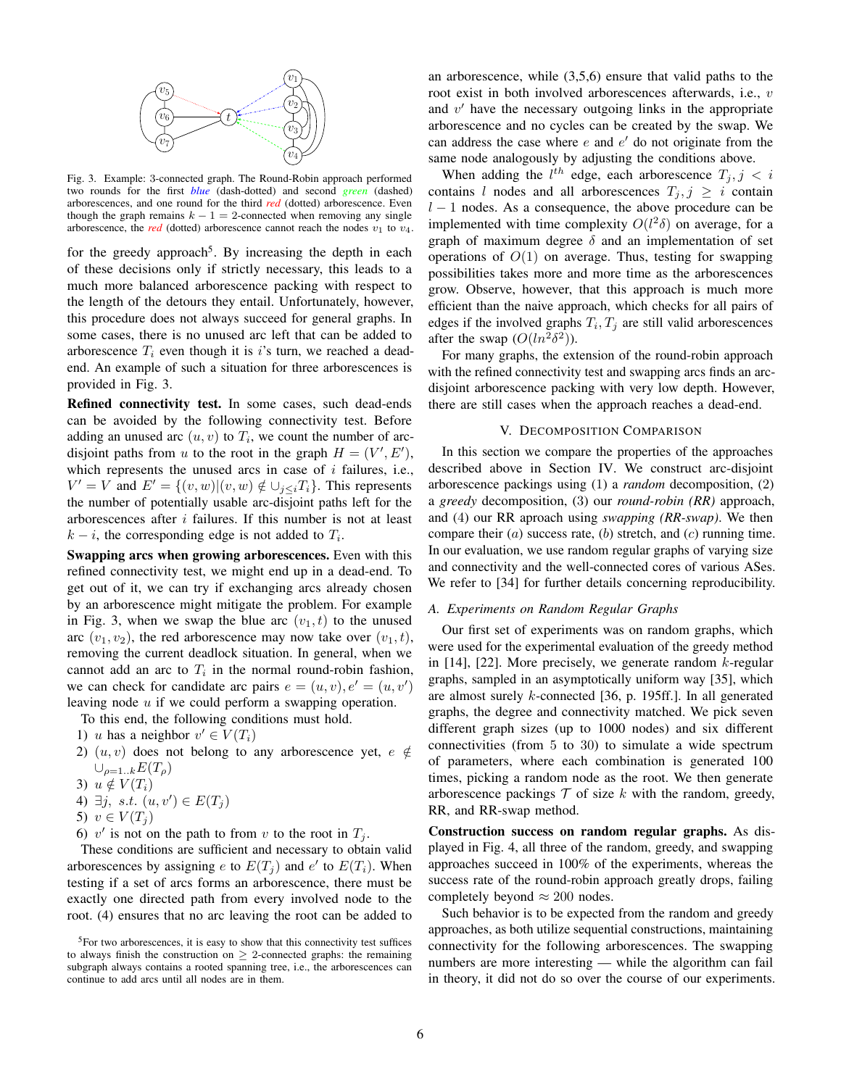

Fig. 3. Example: 3-connected graph. The Round-Robin approach performed two rounds for the first *blue* (dash-dotted) and second *green* (dashed) arborescences, and one round for the third *red* (dotted) arborescence. Even though the graph remains  $k - 1 = 2$ -connected when removing any single arborescence, the *red* (dotted) arborescence cannot reach the nodes  $v_1$  to  $v_4$ .

for the greedy approach<sup>5</sup>. By increasing the depth in each of these decisions only if strictly necessary, this leads to a much more balanced arborescence packing with respect to the length of the detours they entail. Unfortunately, however, this procedure does not always succeed for general graphs. In some cases, there is no unused arc left that can be added to arborescence  $T_i$  even though it is i's turn, we reached a deadend. An example of such a situation for three arborescences is provided in Fig. 3.

Refined connectivity test. In some cases, such dead-ends can be avoided by the following connectivity test. Before adding an unused arc  $(u, v)$  to  $T_i$ , we count the number of arcdisjoint paths from u to the root in the graph  $H = (V', E'),$ which represents the unused arcs in case of  $i$  failures, i.e.,  $V' = V$  and  $E' = \{(v, w) | (v, w) \notin \bigcup_{j \leq i} T_i\}$ . This represents the number of potentially usable arc-disjoint paths left for the arborescences after  $i$  failures. If this number is not at least  $k - i$ , the corresponding edge is not added to  $T_i$ .

Swapping arcs when growing arborescences. Even with this refined connectivity test, we might end up in a dead-end. To get out of it, we can try if exchanging arcs already chosen by an arborescence might mitigate the problem. For example in Fig. 3, when we swap the blue arc  $(v_1, t)$  to the unused arc  $(v_1, v_2)$ , the red arborescence may now take over  $(v_1, t)$ , removing the current deadlock situation. In general, when we cannot add an arc to  $T_i$  in the normal round-robin fashion, we can check for candidate arc pairs  $e = (u, v), e' = (u, v')$ leaving node  $u$  if we could perform a swapping operation.

To this end, the following conditions must hold.

- 1) u has a neighbor  $v' \in V(T_i)$
- 2)  $(u, v)$  does not belong to any arborescence yet,  $e \notin$  $\cup_{\rho=1..k}E(T_{\rho})$
- 3)  $u \notin V(T_i)$
- 4)  $\exists j, s.t. (u, v') \in E(T_j)$
- 5)  $v \in V(T_i)$
- 6) v' is not on the path to from v to the root in  $T_j$ .

These conditions are sufficient and necessary to obtain valid arborescences by assigning e to  $E(T_j)$  and  $e'$  to  $E(T_i)$ . When testing if a set of arcs forms an arborescence, there must be exactly one directed path from every involved node to the root. (4) ensures that no arc leaving the root can be added to an arborescence, while (3,5,6) ensure that valid paths to the root exist in both involved arborescences afterwards, i.e., v and  $v'$  have the necessary outgoing links in the appropriate arborescence and no cycles can be created by the swap. We can address the case where  $e$  and  $e'$  do not originate from the same node analogously by adjusting the conditions above.

When adding the  $l^{th}$  edge, each arborescence  $T_j, j \leq i$ contains l nodes and all arborescences  $T_i, j \geq i$  contain  $l - 1$  nodes. As a consequence, the above procedure can be implemented with time complexity  $O(l^2\delta)$  on average, for a graph of maximum degree  $\delta$  and an implementation of set operations of  $O(1)$  on average. Thus, testing for swapping possibilities takes more and more time as the arborescences grow. Observe, however, that this approach is much more efficient than the naive approach, which checks for all pairs of edges if the involved graphs  $T_i, T_j$  are still valid arborescences after the swap  $(O(ln^2 \delta^2))$ .

For many graphs, the extension of the round-robin approach with the refined connectivity test and swapping arcs finds an arcdisjoint arborescence packing with very low depth. However, there are still cases when the approach reaches a dead-end.

# V. DECOMPOSITION COMPARISON

In this section we compare the properties of the approaches described above in Section IV. We construct arc-disjoint arborescence packings using (1) a *random* decomposition, (2) a *greedy* decomposition, (3) our *round-robin (RR)* approach, and (4) our RR aproach using *swapping (RR-swap)*. We then compare their  $(a)$  success rate,  $(b)$  stretch, and  $(c)$  running time. In our evaluation, we use random regular graphs of varying size and connectivity and the well-connected cores of various ASes. We refer to [34] for further details concerning reproducibility.

# *A. Experiments on Random Regular Graphs*

Our first set of experiments was on random graphs, which were used for the experimental evaluation of the greedy method in [14], [22]. More precisely, we generate random  $k$ -regular graphs, sampled in an asymptotically uniform way [35], which are almost surely k-connected [36, p. 195ff.]. In all generated graphs, the degree and connectivity matched. We pick seven different graph sizes (up to 1000 nodes) and six different connectivities (from 5 to 30) to simulate a wide spectrum of parameters, where each combination is generated 100 times, picking a random node as the root. We then generate arborescence packings  $T$  of size k with the random, greedy, RR, and RR-swap method.

Construction success on random regular graphs. As displayed in Fig. 4, all three of the random, greedy, and swapping approaches succeed in 100% of the experiments, whereas the success rate of the round-robin approach greatly drops, failing completely beyond  $\approx 200$  nodes.

Such behavior is to be expected from the random and greedy approaches, as both utilize sequential constructions, maintaining connectivity for the following arborescences. The swapping numbers are more interesting — while the algorithm can fail in theory, it did not do so over the course of our experiments.

 ${}^{5}$ For two arborescences, it is easy to show that this connectivity test suffices to always finish the construction on  $\geq$  2-connected graphs: the remaining subgraph always contains a rooted spanning tree, i.e., the arborescences can continue to add arcs until all nodes are in them.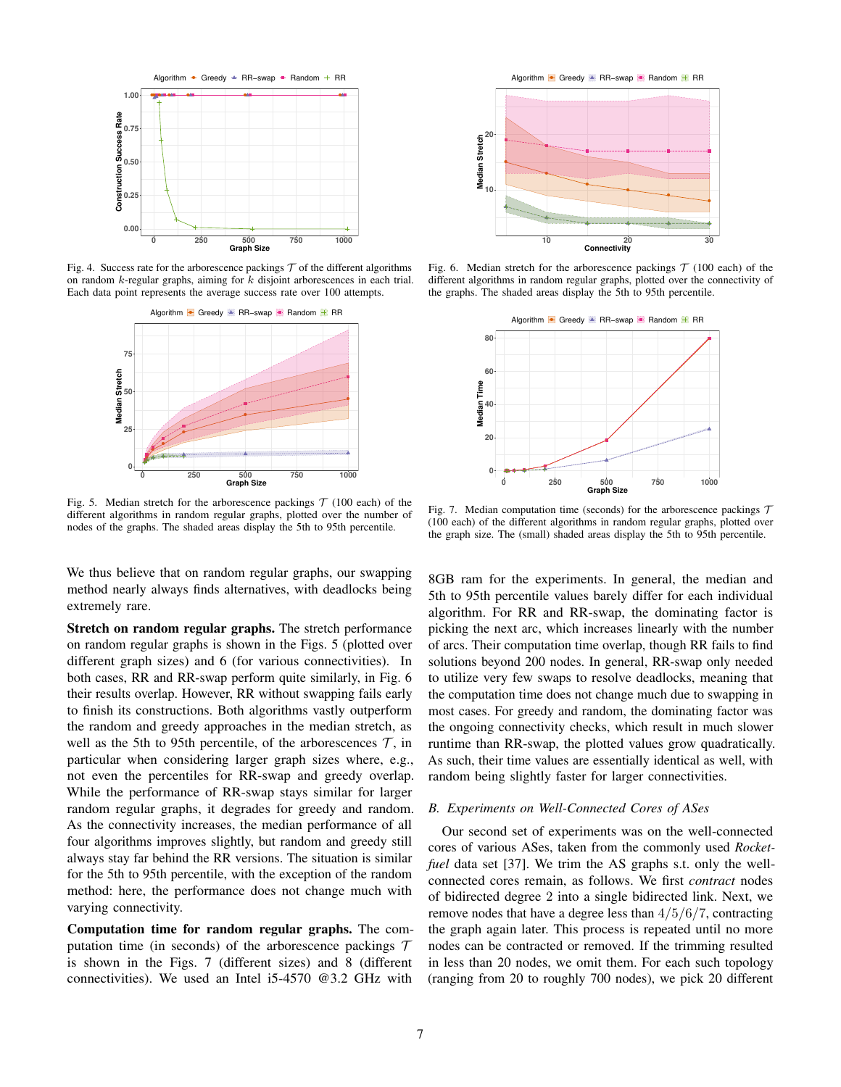

Fig. 4. Success rate for the arborescence packings  $T$  of the different algorithms on random  $k$ -regular graphs, aiming for  $k$  disjoint arborescences in each trial. Each data point represents the average success rate over 100 attempts.



Fig. 5. Median stretch for the arborescence packings  $\mathcal{T}$  (100 each) of the different algorithms in random regular graphs, plotted over the number of nodes of the graphs. The shaded areas display the 5th to 95th percentile.

We thus believe that on random regular graphs, our swapping method nearly always finds alternatives, with deadlocks being extremely rare.

Stretch on random regular graphs. The stretch performance on random regular graphs is shown in the Figs. 5 (plotted over different graph sizes) and 6 (for various connectivities). In both cases, RR and RR-swap perform quite similarly, in Fig. 6 their results overlap. However, RR without swapping fails early to finish its constructions. Both algorithms vastly outperform the random and greedy approaches in the median stretch, as well as the 5th to 95th percentile, of the arborescences  $\mathcal{T}$ , in particular when considering larger graph sizes where, e.g., not even the percentiles for RR-swap and greedy overlap. While the performance of RR-swap stays similar for larger random regular graphs, it degrades for greedy and random. As the connectivity increases, the median performance of all four algorithms improves slightly, but random and greedy still always stay far behind the RR versions. The situation is similar for the 5th to 95th percentile, with the exception of the random method: here, the performance does not change much with varying connectivity.

Computation time for random regular graphs. The computation time (in seconds) of the arborescence packings  $T$ is shown in the Figs. 7 (different sizes) and 8 (different connectivities). We used an Intel i5-4570 @3.2 GHz with

● ● ● ● ● **10 20 10 20 30 Connectivity Median Stretch** Algorithm **+** Greedy **R**R−swap **R** Random **R** RR

Fig. 6. Median stretch for the arborescence packings  $\mathcal{T}$  (100 each) of the different algorithms in random regular graphs, plotted over the connectivity of the graphs. The shaded areas display the 5th to 95th percentile.



Fig. 7. Median computation time (seconds) for the arborescence packings  $\tau$ (100 each) of the different algorithms in random regular graphs, plotted over the graph size. The (small) shaded areas display the 5th to 95th percentile.

8GB ram for the experiments. In general, the median and 5th to 95th percentile values barely differ for each individual algorithm. For RR and RR-swap, the dominating factor is picking the next arc, which increases linearly with the number of arcs. Their computation time overlap, though RR fails to find solutions beyond 200 nodes. In general, RR-swap only needed to utilize very few swaps to resolve deadlocks, meaning that the computation time does not change much due to swapping in most cases. For greedy and random, the dominating factor was the ongoing connectivity checks, which result in much slower runtime than RR-swap, the plotted values grow quadratically. As such, their time values are essentially identical as well, with random being slightly faster for larger connectivities.

#### *B. Experiments on Well-Connected Cores of ASes*

Our second set of experiments was on the well-connected cores of various ASes, taken from the commonly used *Rocketfuel* data set [37]. We trim the AS graphs s.t. only the wellconnected cores remain, as follows. We first *contract* nodes of bidirected degree 2 into a single bidirected link. Next, we remove nodes that have a degree less than 4/5/6/7, contracting the graph again later. This process is repeated until no more nodes can be contracted or removed. If the trimming resulted in less than 20 nodes, we omit them. For each such topology (ranging from 20 to roughly 700 nodes), we pick 20 different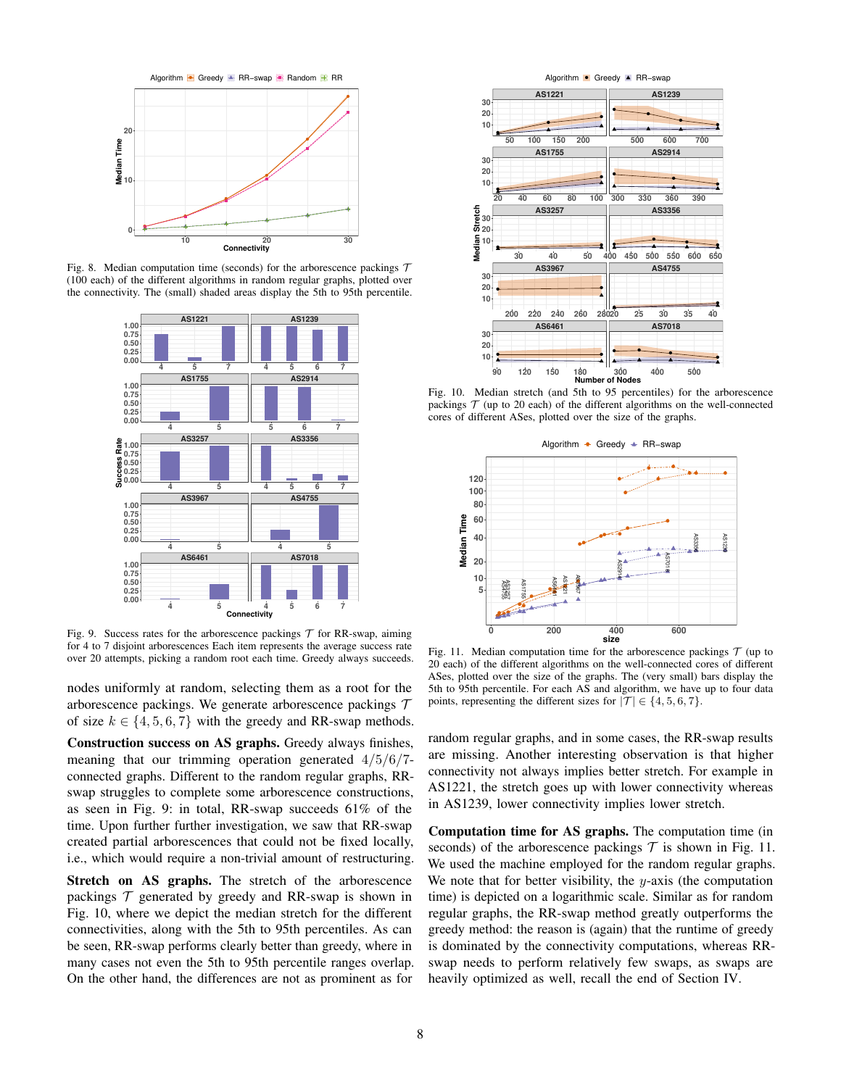

Fig. 8. Median computation time (seconds) for the arborescence packings  $\tau$ (100 each) of the different algorithms in random regular graphs, plotted over the connectivity. The (small) shaded areas display the 5th to 95th percentile.



Fig. 9. Success rates for the arborescence packings  $T$  for RR-swap, aiming for 4 to 7 disjoint arborescences Each item represents the average success rate over 20 attempts, picking a random root each time. Greedy always succeeds.

nodes uniformly at random, selecting them as a root for the arborescence packings. We generate arborescence packings  $\mathcal T$ of size  $k \in \{4, 5, 6, 7\}$  with the greedy and RR-swap methods.

Construction success on AS graphs. Greedy always finishes, meaning that our trimming operation generated 4/5/6/7 connected graphs. Different to the random regular graphs, RRswap struggles to complete some arborescence constructions, as seen in Fig. 9: in total, RR-swap succeeds 61% of the time. Upon further further investigation, we saw that RR-swap created partial arborescences that could not be fixed locally, i.e., which would require a non-trivial amount of restructuring.

Stretch on AS graphs. The stretch of the arborescence packings  $\mathcal T$  generated by greedy and RR-swap is shown in Fig. 10, where we depict the median stretch for the different connectivities, along with the 5th to 95th percentiles. As can be seen, RR-swap performs clearly better than greedy, where in many cases not even the 5th to 95th percentile ranges overlap. On the other hand, the differences are not as prominent as for



Fig. 10. Median stretch (and 5th to 95 percentiles) for the arborescence packings  $T$  (up to 20 each) of the different algorithms on the well-connected cores of different ASes, plotted over the size of the graphs.



Fig. 11. Median computation time for the arborescence packings  $\mathcal T$  (up to 20 each) of the different algorithms on the well-connected cores of different ASes, plotted over the size of the graphs. The (very small) bars display the 5th to 95th percentile. For each AS and algorithm, we have up to four data points, representing the different sizes for  $|\mathcal{T}| \in \{4, 5, 6, 7\}.$ 

random regular graphs, and in some cases, the RR-swap results are missing. Another interesting observation is that higher connectivity not always implies better stretch. For example in AS1221, the stretch goes up with lower connectivity whereas in AS1239, lower connectivity implies lower stretch.

Computation time for AS graphs. The computation time (in seconds) of the arborescence packings  $\mathcal T$  is shown in Fig. 11. We used the machine employed for the random regular graphs. We note that for better visibility, the  $y$ -axis (the computation time) is depicted on a logarithmic scale. Similar as for random regular graphs, the RR-swap method greatly outperforms the greedy method: the reason is (again) that the runtime of greedy is dominated by the connectivity computations, whereas RRswap needs to perform relatively few swaps, as swaps are heavily optimized as well, recall the end of Section IV.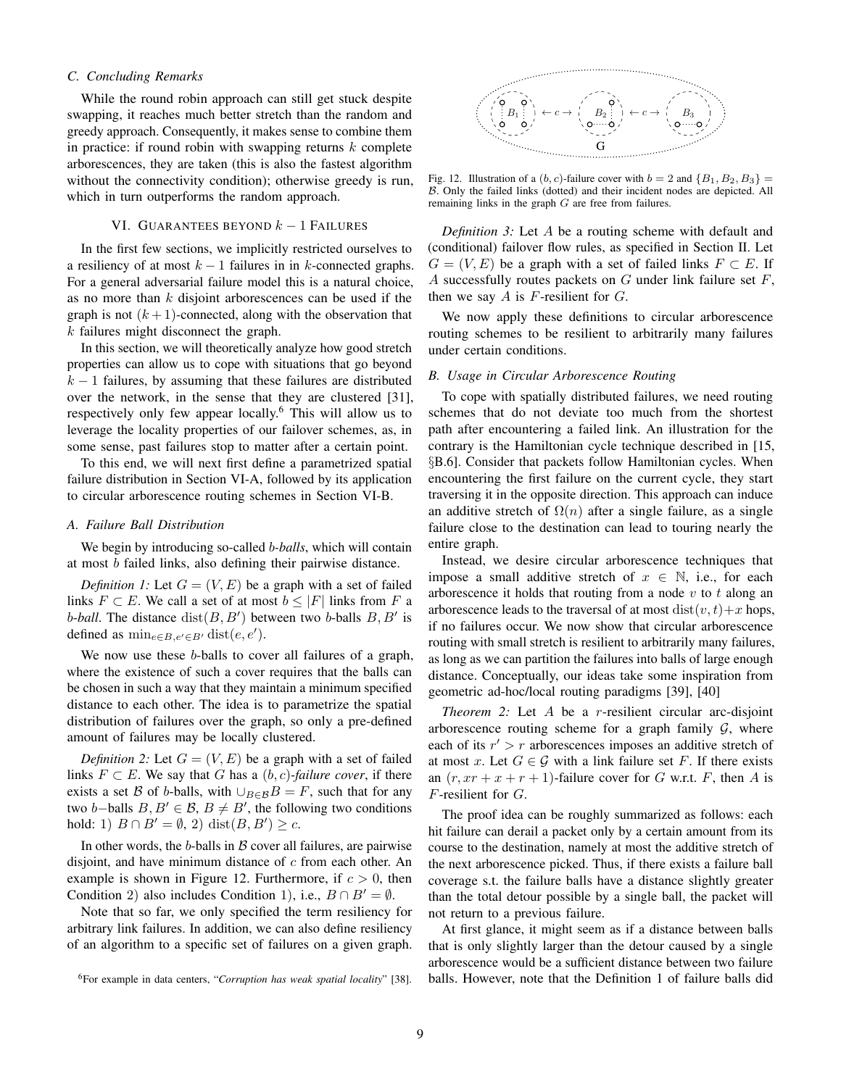# *C. Concluding Remarks*

While the round robin approach can still get stuck despite swapping, it reaches much better stretch than the random and greedy approach. Consequently, it makes sense to combine them in practice: if round robin with swapping returns  $k$  complete arborescences, they are taken (this is also the fastest algorithm without the connectivity condition); otherwise greedy is run, which in turn outperforms the random approach.

# VI. GUARANTEES BEYOND  $k-1$  FAILURES

In the first few sections, we implicitly restricted ourselves to a resiliency of at most  $k - 1$  failures in in k-connected graphs. For a general adversarial failure model this is a natural choice, as no more than  $k$  disjoint arborescences can be used if the graph is not  $(k+1)$ -connected, along with the observation that k failures might disconnect the graph.

In this section, we will theoretically analyze how good stretch properties can allow us to cope with situations that go beyond  $k - 1$  failures, by assuming that these failures are distributed over the network, in the sense that they are clustered [31], respectively only few appear locally.<sup>6</sup> This will allow us to leverage the locality properties of our failover schemes, as, in some sense, past failures stop to matter after a certain point.

To this end, we will next first define a parametrized spatial failure distribution in Section VI-A, followed by its application to circular arborescence routing schemes in Section VI-B.

#### *A. Failure Ball Distribution*

We begin by introducing so-called b*-balls*, which will contain at most b failed links, also defining their pairwise distance.

*Definition 1:* Let  $G = (V, E)$  be a graph with a set of failed links  $F \subset E$ . We call a set of at most  $b \leq |F|$  links from F a b-ball. The distance  $dist(B, B')$  between two b-balls  $B, B'$  is defined as  $\min_{e \in B, e' \in B'} \text{dist}(e, e').$ 

We now use these *b*-balls to cover all failures of a graph, where the existence of such a cover requires that the balls can be chosen in such a way that they maintain a minimum specified distance to each other. The idea is to parametrize the spatial distribution of failures over the graph, so only a pre-defined amount of failures may be locally clustered.

*Definition 2:* Let  $G = (V, E)$  be a graph with a set of failed links  $F \subset E$ . We say that G has a  $(b, c)$ -failure cover, if there exists a set B of b-balls, with  $\bigcup_{B\in\mathcal{B}}B=F$ , such that for any two b–balls  $B, B' \in \mathcal{B}, B \neq B'$ , the following two conditions hold: 1)  $B \cap B' = \emptyset$ , 2) dist $(B, B') \geq c$ .

In other words, the  $b$ -balls in  $B$  cover all failures, are pairwise disjoint, and have minimum distance of  $c$  from each other. An example is shown in Figure 12. Furthermore, if  $c > 0$ , then Condition 2) also includes Condition 1), i.e.,  $B \cap B' = \emptyset$ .

Note that so far, we only specified the term resiliency for arbitrary link failures. In addition, we can also define resiliency of an algorithm to a specific set of failures on a given graph.



Fig. 12. Illustration of a  $(b, c)$ -failure cover with  $b = 2$  and  ${B_1, B_2, B_3}$  = B. Only the failed links (dotted) and their incident nodes are depicted. All remaining links in the graph G are free from failures.

*Definition 3:* Let A be a routing scheme with default and (conditional) failover flow rules, as specified in Section II. Let  $G = (V, E)$  be a graph with a set of failed links  $F \subset E$ . If A successfully routes packets on  $G$  under link failure set  $F$ , then we say  $A$  is  $F$ -resilient for  $G$ .

We now apply these definitions to circular arborescence routing schemes to be resilient to arbitrarily many failures under certain conditions.

#### *B. Usage in Circular Arborescence Routing*

To cope with spatially distributed failures, we need routing schemes that do not deviate too much from the shortest path after encountering a failed link. An illustration for the contrary is the Hamiltonian cycle technique described in [15, §B.6]. Consider that packets follow Hamiltonian cycles. When encountering the first failure on the current cycle, they start traversing it in the opposite direction. This approach can induce an additive stretch of  $\Omega(n)$  after a single failure, as a single failure close to the destination can lead to touring nearly the entire graph.

Instead, we desire circular arborescence techniques that impose a small additive stretch of  $x \in \mathbb{N}$ , i.e., for each arborescence it holds that routing from a node  $v$  to  $t$  along an arborescence leads to the traversal of at most  $dist(v, t) + x$  hops, if no failures occur. We now show that circular arborescence routing with small stretch is resilient to arbitrarily many failures, as long as we can partition the failures into balls of large enough distance. Conceptually, our ideas take some inspiration from geometric ad-hoc/local routing paradigms [39], [40]

*Theorem 2:* Let A be a *r*-resilient circular arc-disjoint arborescence routing scheme for a graph family  $G$ , where each of its  $r' > r$  arborescences imposes an additive stretch of at most x. Let  $G \in \mathcal{G}$  with a link failure set F. If there exists an  $(r, xr + x + r + 1)$ -failure cover for G w.r.t. F, then A is F-resilient for G.

The proof idea can be roughly summarized as follows: each hit failure can derail a packet only by a certain amount from its course to the destination, namely at most the additive stretch of the next arborescence picked. Thus, if there exists a failure ball coverage s.t. the failure balls have a distance slightly greater than the total detour possible by a single ball, the packet will not return to a previous failure.

At first glance, it might seem as if a distance between balls that is only slightly larger than the detour caused by a single arborescence would be a sufficient distance between two failure balls. However, note that the Definition 1 of failure balls did

<sup>6</sup>For example in data centers, "*Corruption has weak spatial locality*" [38].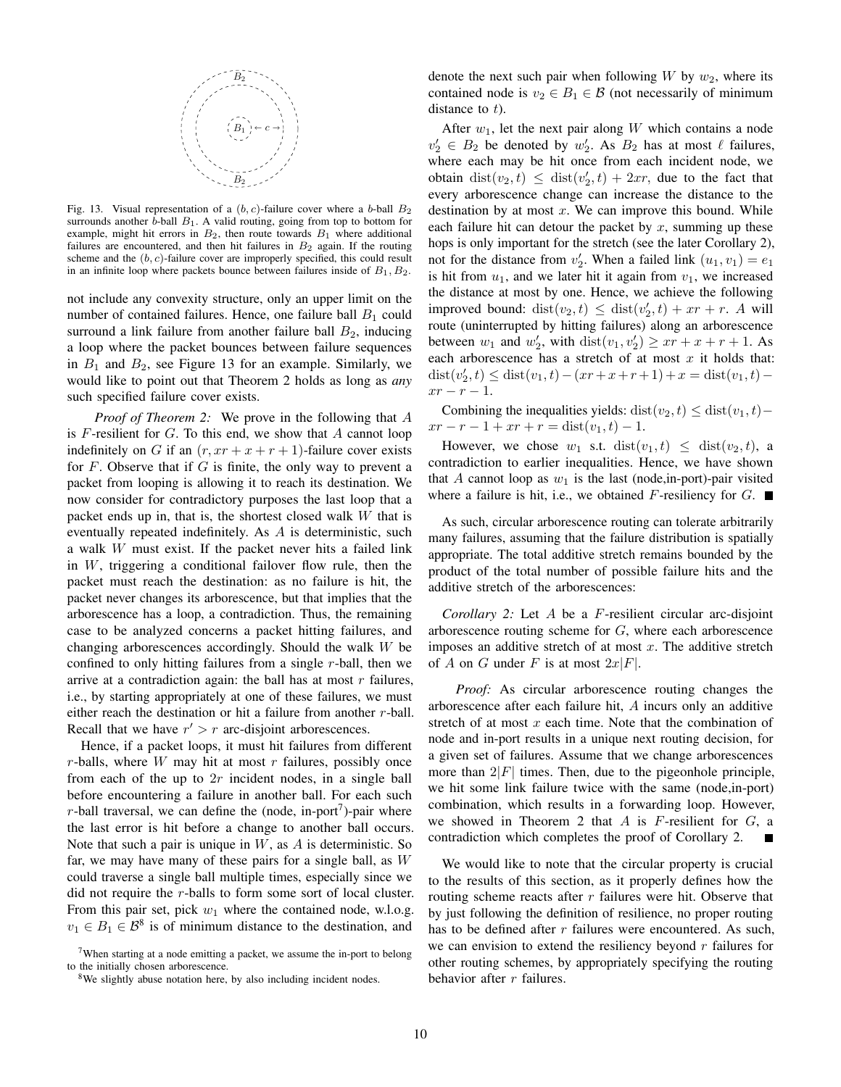

Fig. 13. Visual representation of a  $(b, c)$ -failure cover where a b-ball  $B_2$ surrounds another  $\bar{b}$ -ball  $B_1$ . A valid routing, going from top to bottom for example, might hit errors in  $B_2$ , then route towards  $B_1$  where additional failures are encountered, and then hit failures in  $B_2$  again. If the routing scheme and the  $(b, c)$ -failure cover are improperly specified, this could result in an infinite loop where packets bounce between failures inside of  $B_1, B_2$ .

not include any convexity structure, only an upper limit on the number of contained failures. Hence, one failure ball  $B_1$  could surround a link failure from another failure ball  $B_2$ , inducing a loop where the packet bounces between failure sequences in  $B_1$  and  $B_2$ , see Figure 13 for an example. Similarly, we would like to point out that Theorem 2 holds as long as *any* such specified failure cover exists.

*Proof of Theorem 2:* We prove in the following that A is  $F$ -resilient for  $G$ . To this end, we show that  $A$  cannot loop indefinitely on G if an  $(r, xr + x + r + 1)$ -failure cover exists for  $F$ . Observe that if  $G$  is finite, the only way to prevent a packet from looping is allowing it to reach its destination. We now consider for contradictory purposes the last loop that a packet ends up in, that is, the shortest closed walk W that is eventually repeated indefinitely. As A is deterministic, such a walk W must exist. If the packet never hits a failed link in  $W$ , triggering a conditional failover flow rule, then the packet must reach the destination: as no failure is hit, the packet never changes its arborescence, but that implies that the arborescence has a loop, a contradiction. Thus, the remaining case to be analyzed concerns a packet hitting failures, and changing arborescences accordingly. Should the walk W be confined to only hitting failures from a single  $r$ -ball, then we arrive at a contradiction again: the ball has at most  $r$  failures, i.e., by starting appropriately at one of these failures, we must either reach the destination or hit a failure from another r-ball. Recall that we have  $r' > r$  arc-disjoint arborescences.

Hence, if a packet loops, it must hit failures from different  $r$ -balls, where  $W$  may hit at most  $r$  failures, possibly once from each of the up to  $2r$  incident nodes, in a single ball before encountering a failure in another ball. For each such r-ball traversal, we can define the (node, in-port<sup>7</sup>)-pair where the last error is hit before a change to another ball occurs. Note that such a pair is unique in  $W$ , as  $A$  is deterministic. So far, we may have many of these pairs for a single ball, as  $W$ could traverse a single ball multiple times, especially since we did not require the r-balls to form some sort of local cluster. From this pair set, pick  $w_1$  where the contained node, w.l.o.g.  $v_1 \in B_1 \in \mathcal{B}^8$  is of minimum distance to the destination, and

denote the next such pair when following  $W$  by  $w_2$ , where its contained node is  $v_2 \in B_1 \in \mathcal{B}$  (not necessarily of minimum distance to  $t$ ).

After  $w_1$ , let the next pair along W which contains a node  $v'_2 \in B_2$  be denoted by  $w'_2$ . As  $B_2$  has at most  $\ell$  failures, where each may be hit once from each incident node, we obtain  $dist(v_2, t) \leq dist(v'_2, t) + 2xr$ , due to the fact that every arborescence change can increase the distance to the destination by at most  $x$ . We can improve this bound. While each failure hit can detour the packet by  $x$ , summing up these hops is only important for the stretch (see the later Corollary 2), not for the distance from  $v'_2$ . When a failed link  $(u_1, v_1) = e_1$ is hit from  $u_1$ , and we later hit it again from  $v_1$ , we increased the distance at most by one. Hence, we achieve the following improved bound:  $dist(v_2, t) \leq dist(v'_2, t) + xr + r$ . A will route (uninterrupted by hitting failures) along an arborescence between  $w_1$  and  $w_2'$ , with  $dist(v_1, v_2') \geq xr + x + r + 1$ . As each arborescence has a stretch of at most  $x$  it holds that:  $dist(v'_2, t) \leq dist(v_1, t) - (xr + r + 1) + x = dist(v_1, t)$  $xr - r - 1$ .

Combining the inequalities yields: dist( $v_2, t$ ) ≤ dist( $v_1, t$ ) –  $xr - r - 1 + xr + r = dist(v_1, t) - 1.$ 

However, we chose  $w_1$  s.t.  $dist(v_1, t) \leq dist(v_2, t)$ , a contradiction to earlier inequalities. Hence, we have shown that A cannot loop as  $w_1$  is the last (node, in-port)-pair visited where a failure is hit, i.e., we obtained F-resiliency for  $G$ .

As such, circular arborescence routing can tolerate arbitrarily many failures, assuming that the failure distribution is spatially appropriate. The total additive stretch remains bounded by the product of the total number of possible failure hits and the additive stretch of the arborescences:

*Corollary 2:* Let A be a F-resilient circular arc-disjoint arborescence routing scheme for G, where each arborescence imposes an additive stretch of at most  $x$ . The additive stretch of A on G under F is at most  $2x|F|$ .

*Proof:* As circular arborescence routing changes the arborescence after each failure hit, A incurs only an additive stretch of at most  $x$  each time. Note that the combination of node and in-port results in a unique next routing decision, for a given set of failures. Assume that we change arborescences more than  $2|F|$  times. Then, due to the pigeonhole principle, we hit some link failure twice with the same (node,in-port) combination, which results in a forwarding loop. However, we showed in Theorem 2 that  $A$  is  $F$ -resilient for  $G$ , a contradiction which completes the proof of Corollary 2.

We would like to note that the circular property is crucial to the results of this section, as it properly defines how the routing scheme reacts after  $r$  failures were hit. Observe that by just following the definition of resilience, no proper routing has to be defined after  $r$  failures were encountered. As such, we can envision to extend the resiliency beyond  $r$  failures for other routing schemes, by appropriately specifying the routing behavior after  $r$  failures.

<sup>&</sup>lt;sup>7</sup>When starting at a node emitting a packet, we assume the in-port to belong to the initially chosen arborescence.

<sup>&</sup>lt;sup>8</sup>We slightly abuse notation here, by also including incident nodes.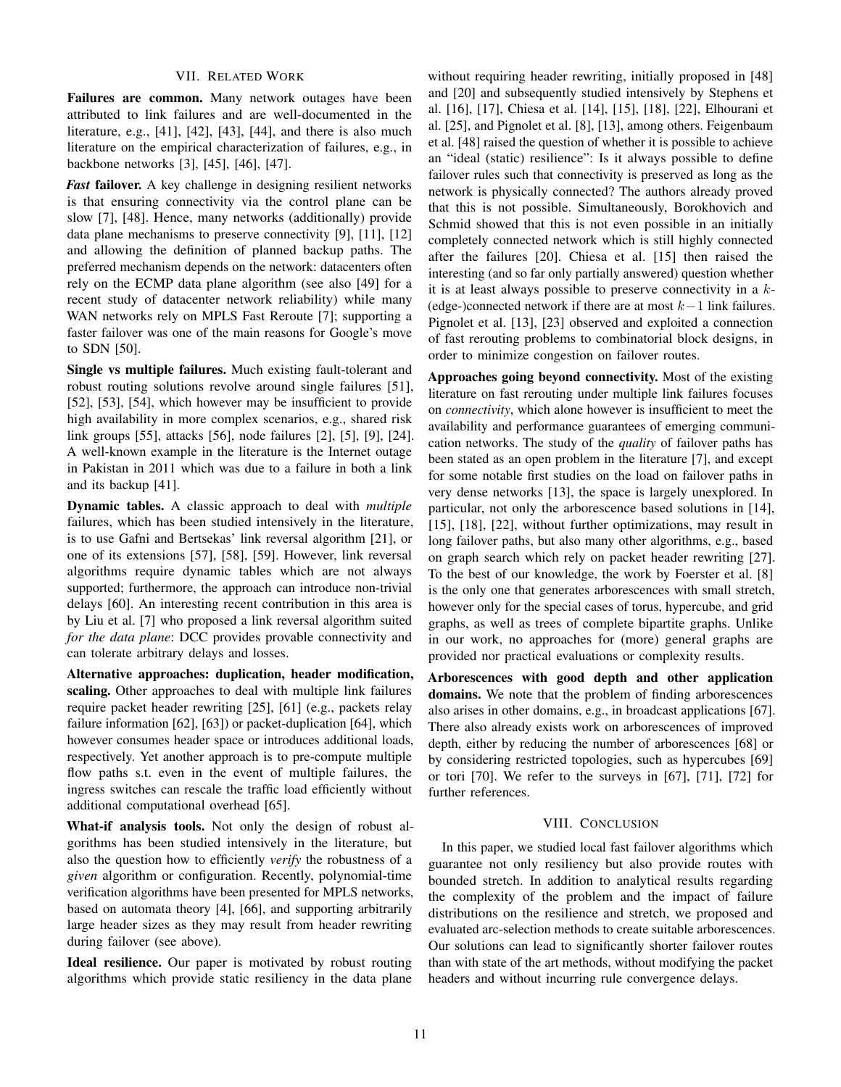# VII. RELATED WORK

Failures are common. Many network outages have been attributed to link failures and are well-documented in the literature, e.g., [41], [42], [43], [44], and there is also much literature on the empirical characterization of failures, e.g., in backbone networks [3], [45], [46], [47].

*Fast* failover. A key challenge in designing resilient networks is that ensuring connectivity via the control plane can be slow [7], [48]. Hence, many networks (additionally) provide data plane mechanisms to preserve connectivity [9], [11], [12] and allowing the definition of planned backup paths. The preferred mechanism depends on the network: datacenters often rely on the ECMP data plane algorithm (see also [49] for a recent study of datacenter network reliability) while many WAN networks rely on MPLS Fast Reroute [7]; supporting a faster failover was one of the main reasons for Google's move to SDN [50].

Single vs multiple failures. Much existing fault-tolerant and robust routing solutions revolve around single failures [51], [52], [53], [54], which however may be insufficient to provide high availability in more complex scenarios, e.g., shared risk link groups [55], attacks [56], node failures [2], [5], [9], [24]. A well-known example in the literature is the Internet outage in Pakistan in 2011 which was due to a failure in both a link and its backup [41].

Dynamic tables. A classic approach to deal with *multiple* failures, which has been studied intensively in the literature, is to use Gafni and Bertsekas' link reversal algorithm [21], or one of its extensions [57], [58], [59]. However, link reversal algorithms require dynamic tables which are not always supported; furthermore, the approach can introduce non-trivial delays [60]. An interesting recent contribution in this area is by Liu et al. [7] who proposed a link reversal algorithm suited *for the data plane*: DCC provides provable connectivity and can tolerate arbitrary delays and losses.

Alternative approaches: duplication, header modification, scaling. Other approaches to deal with multiple link failures require packet header rewriting [25], [61] (e.g., packets relay failure information [62], [63]) or packet-duplication [64], which however consumes header space or introduces additional loads, respectively. Yet another approach is to pre-compute multiple flow paths s.t. even in the event of multiple failures, the ingress switches can rescale the traffic load efficiently without additional computational overhead [65].

What-if analysis tools. Not only the design of robust algorithms has been studied intensively in the literature, but also the question how to efficiently *verify* the robustness of a *given* algorithm or configuration. Recently, polynomial-time verification algorithms have been presented for MPLS networks, based on automata theory [4], [66], and supporting arbitrarily large header sizes as they may result from header rewriting during failover (see above).

Ideal resilience. Our paper is motivated by robust routing algorithms which provide static resiliency in the data plane without requiring header rewriting, initially proposed in [48] and [20] and subsequently studied intensively by Stephens et al. [16], [17], Chiesa et al. [14], [15], [18], [22], Elhourani et al. [25], and Pignolet et al. [8], [13], among others. Feigenbaum et al. [48] raised the question of whether it is possible to achieve an "ideal (static) resilience": Is it always possible to define failover rules such that connectivity is preserved as long as the network is physically connected? The authors already proved that this is not possible. Simultaneously, Borokhovich and Schmid showed that this is not even possible in an initially completely connected network which is still highly connected after the failures [20]. Chiesa et al. [15] then raised the interesting (and so far only partially answered) question whether it is at least always possible to preserve connectivity in a  $k$ -(edge-)connected network if there are at most  $k-1$  link failures. Pignolet et al. [13], [23] observed and exploited a connection of fast rerouting problems to combinatorial block designs, in order to minimize congestion on failover routes.

Approaches going beyond connectivity. Most of the existing literature on fast rerouting under multiple link failures focuses on *connectivity*, which alone however is insufficient to meet the availability and performance guarantees of emerging communication networks. The study of the *quality* of failover paths has been stated as an open problem in the literature [7], and except for some notable first studies on the load on failover paths in very dense networks [13], the space is largely unexplored. In particular, not only the arborescence based solutions in [14], [15], [18], [22], without further optimizations, may result in long failover paths, but also many other algorithms, e.g., based on graph search which rely on packet header rewriting [27]. To the best of our knowledge, the work by Foerster et al. [8] is the only one that generates arborescences with small stretch, however only for the special cases of torus, hypercube, and grid graphs, as well as trees of complete bipartite graphs. Unlike in our work, no approaches for (more) general graphs are provided nor practical evaluations or complexity results.

Arborescences with good depth and other application domains. We note that the problem of finding arborescences also arises in other domains, e.g., in broadcast applications [67]. There also already exists work on arborescences of improved depth, either by reducing the number of arborescences [68] or by considering restricted topologies, such as hypercubes [69] or tori [70]. We refer to the surveys in [67], [71], [72] for further references.

## VIII. CONCLUSION

In this paper, we studied local fast failover algorithms which guarantee not only resiliency but also provide routes with bounded stretch. In addition to analytical results regarding the complexity of the problem and the impact of failure distributions on the resilience and stretch, we proposed and evaluated arc-selection methods to create suitable arborescences. Our solutions can lead to significantly shorter failover routes than with state of the art methods, without modifying the packet headers and without incurring rule convergence delays.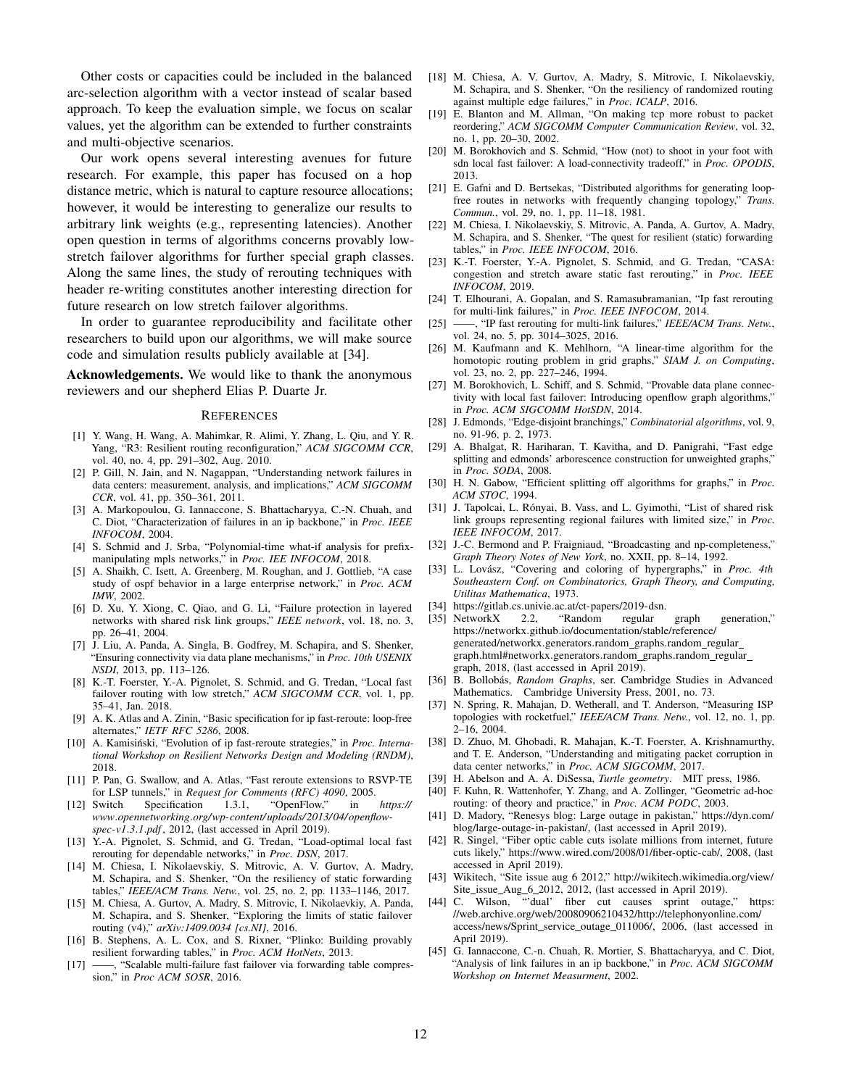Other costs or capacities could be included in the balanced arc-selection algorithm with a vector instead of scalar based approach. To keep the evaluation simple, we focus on scalar values, yet the algorithm can be extended to further constraints and multi-objective scenarios.

Our work opens several interesting avenues for future research. For example, this paper has focused on a hop distance metric, which is natural to capture resource allocations; however, it would be interesting to generalize our results to arbitrary link weights (e.g., representing latencies). Another open question in terms of algorithms concerns provably lowstretch failover algorithms for further special graph classes. Along the same lines, the study of rerouting techniques with header re-writing constitutes another interesting direction for future research on low stretch failover algorithms.

In order to guarantee reproducibility and facilitate other researchers to build upon our algorithms, we will make source code and simulation results publicly available at [34].

Acknowledgements. We would like to thank the anonymous reviewers and our shepherd Elias P. Duarte Jr.

#### REFERENCES

- [1] Y. Wang, H. Wang, A. Mahimkar, R. Alimi, Y. Zhang, L. Qiu, and Y. R. Yang, "R3: Resilient routing reconfiguration," *ACM SIGCOMM CCR*, vol. 40, no. 4, pp. 291–302, Aug. 2010.
- [2] P. Gill, N. Jain, and N. Nagappan, "Understanding network failures in data centers: measurement, analysis, and implications," *ACM SIGCOMM CCR*, vol. 41, pp. 350–361, 2011.
- [3] A. Markopoulou, G. Iannaccone, S. Bhattacharyya, C.-N. Chuah, and C. Diot, "Characterization of failures in an ip backbone," in *Proc. IEEE INFOCOM*, 2004.
- [4] S. Schmid and J. Srba, "Polynomial-time what-if analysis for prefixmanipulating mpls networks," in *Proc. IEE INFOCOM*, 2018.
- [5] A. Shaikh, C. Isett, A. Greenberg, M. Roughan, and J. Gottlieb, "A case study of ospf behavior in a large enterprise network," in *Proc. ACM IMW*, 2002.
- [6] D. Xu, Y. Xiong, C. Qiao, and G. Li, "Failure protection in layered networks with shared risk link groups," *IEEE network*, vol. 18, no. 3, pp. 26–41, 2004.
- [7] J. Liu, A. Panda, A. Singla, B. Godfrey, M. Schapira, and S. Shenker, "Ensuring connectivity via data plane mechanisms," in *Proc. 10th USENIX NSDI*, 2013, pp. 113–126.
- [8] K.-T. Foerster, Y.-A. Pignolet, S. Schmid, and G. Tredan, "Local fast failover routing with low stretch," *ACM SIGCOMM CCR*, vol. 1, pp. 35–41, Jan. 2018.
- [9] A. K. Atlas and A. Zinin, "Basic specification for ip fast-reroute: loop-free alternates," *IETF RFC 5286*, 2008.
- [10] A. Kamisiński, "Evolution of ip fast-reroute strategies," in *Proc. International Workshop on Resilient Networks Design and Modeling (RNDM)*, 2018.
- [11] P. Pan, G. Swallow, and A. Atlas, "Fast reroute extensions to RSVP-TE for LSP tunnels," in *Request for Comments (RFC) 4090*, 2005.<br>Switch Specification 1.3.1, "OpenFlow," in *https://*
- [12] Switch Specification 1.3.1, "OpenFlow," in *www*.*opennetworking*.*org/wp-content/ uploads/ 2013/ 04/ openflowspec-v1*.*3*.*1*.*pdf* , 2012, (last accessed in April 2019).
- [13] Y.-A. Pignolet, S. Schmid, and G. Tredan, "Load-optimal local fast rerouting for dependable networks," in *Proc. DSN*, 2017.
- [14] M. Chiesa, I. Nikolaevskiy, S. Mitrovic, A. V. Gurtov, A. Madry, M. Schapira, and S. Shenker, "On the resiliency of static forwarding tables," *IEEE/ACM Trans. Netw.*, vol. 25, no. 2, pp. 1133–1146, 2017.
- [15] M. Chiesa, A. Gurtov, A. Madry, S. Mitrovic, I. Nikolaevkiy, A. Panda, M. Schapira, and S. Shenker, "Exploring the limits of static failover routing (v4)," *arXiv:1409.0034 [cs.NI]*, 2016.
- [16] B. Stephens, A. L. Cox, and S. Rixner, "Plinko: Building provably resilient forwarding tables," in *Proc. ACM HotNets*, 2013.
- [17] ——, "Scalable multi-failure fast failover via forwarding table compression," in *Proc ACM SOSR*, 2016.
- [18] M. Chiesa, A. V. Gurtov, A. Madry, S. Mitrovic, I. Nikolaevskiy, M. Schapira, and S. Shenker, "On the resiliency of randomized routing against multiple edge failures," in *Proc. ICALP*, 2016.
- [19] E. Blanton and M. Allman, "On making tcp more robust to packet reordering," *ACM SIGCOMM Computer Communication Review*, vol. 32, no. 1, pp. 20–30, 2002.
- [20] M. Borokhovich and S. Schmid, "How (not) to shoot in your foot with sdn local fast failover: A load-connectivity tradeoff," in *Proc. OPODIS*, 2013.
- [21] E. Gafni and D. Bertsekas, "Distributed algorithms for generating loopfree routes in networks with frequently changing topology," *Trans. Commun.*, vol. 29, no. 1, pp. 11–18, 1981.
- [22] M. Chiesa, I. Nikolaevskiy, S. Mitrovic, A. Panda, A. Gurtov, A. Madry, M. Schapira, and S. Shenker, "The quest for resilient (static) forwarding tables," in *Proc. IEEE INFOCOM*, 2016.
- [23] K.-T. Foerster, Y.-A. Pignolet, S. Schmid, and G. Tredan, "CASA: congestion and stretch aware static fast rerouting," in *Proc. IEEE INFOCOM*, 2019.
- [24] T. Elhourani, A. Gopalan, and S. Ramasubramanian, "Ip fast rerouting for multi-link failures," in *Proc. IEEE INFOCOM*, 2014.
- [25] ——, "IP fast rerouting for multi-link failures," *IEEE/ACM Trans. Netw.*, vol. 24, no. 5, pp. 3014–3025, 2016.
- [26] M. Kaufmann and K. Mehlhorn, "A linear-time algorithm for the homotopic routing problem in grid graphs," *SIAM J. on Computing*, vol. 23, no. 2, pp. 227–246, 1994.
- [27] M. Borokhovich, L. Schiff, and S. Schmid, "Provable data plane connectivity with local fast failover: Introducing openflow graph algorithms," in *Proc. ACM SIGCOMM HotSDN*, 2014.
- [28] J. Edmonds, "Edge-disjoint branchings," *Combinatorial algorithms*, vol. 9, no. 91-96, p. 2, 1973.
- [29] A. Bhalgat, R. Hariharan, T. Kavitha, and D. Panigrahi, "Fast edge splitting and edmonds' arborescence construction for unweighted graphs," in *Proc. SODA*, 2008.
- [30] H. N. Gabow, "Efficient splitting off algorithms for graphs," in *Proc. ACM STOC*, 1994.
- [31] J. Tapolcai, L. Rónyai, B. Vass, and L. Gyimothi, "List of shared risk link groups representing regional failures with limited size," in *Proc. IEEE INFOCOM*, 2017.
- [32] J.-C. Bermond and P. Fraigniaud, "Broadcasting and np-completeness," *Graph Theory Notes of New York*, no. XXII, pp. 8–14, 1992.
- [33] L. Lovász, "Covering and coloring of hypergraphs," in *Proc. 4th Southeastern Conf. on Combinatorics, Graph Theory, and Computing, Utilitas Mathematica*, 1973.
- [34] https://gitlab.cs.univie.ac.at/ct-papers/2019-dsn.<br>[35] NetworkX 2.2, "Random regular
- [35] NetworkX 2.2, "Random regular graph generation," https://networkx.github.io/documentation/stable/reference/ generated/networkx.generators.random\_graphs.random\_regular\_ graph.html#networkx.generators.random\_graphs.random\_regular\_ graph, 2018, (last accessed in April 2019).
- [36] B. Bollobás, Random Graphs, ser. Cambridge Studies in Advanced Mathematics. Cambridge University Press, 2001, no. 73.
- [37] N. Spring, R. Mahajan, D. Wetherall, and T. Anderson, "Measuring ISP topologies with rocketfuel," *IEEE/ACM Trans. Netw.*, vol. 12, no. 1, pp. 2–16, 2004.
- [38] D. Zhuo, M. Ghobadi, R. Mahajan, K.-T. Foerster, A. Krishnamurthy, and T. E. Anderson, "Understanding and mitigating packet corruption in data center networks," in *Proc. ACM SIGCOMM*, 2017.
- [39] H. Abelson and A. A. DiSessa, *Turtle geometry*. MIT press, 1986.
- [40] F. Kuhn, R. Wattenhofer, Y. Zhang, and A. Zollinger, "Geometric ad-hoc routing: of theory and practice," in *Proc. ACM PODC*, 2003.
- [41] D. Madory, "Renesys blog: Large outage in pakistan," https://dyn.com/ blog/large-outage-in-pakistan/, (last accessed in April 2019).
- [42] R. Singel, "Fiber optic cable cuts isolate millions from internet, future cuts likely," https://www.wired.com/2008/01/fiber-optic-cab/, 2008, (last accessed in April 2019).
- [43] Wikitech, "Site issue aug 6 2012," http://wikitech.wikimedia.org/view/ Site\_issue\_Aug\_6\_2012, 2012, (last accessed in April 2019).
- [44] C. Wilson, "dual' fiber cut causes sprint outage," https: //web.archive.org/web/20080906210432/http://telephonyonline.com/ access/news/Sprint\_service\_outage\_011006/, 2006, (last accessed in April 2019).
- [45] G. Iannaccone, C.-n. Chuah, R. Mortier, S. Bhattacharyya, and C. Diot, "Analysis of link failures in an ip backbone," in *Proc. ACM SIGCOMM Workshop on Internet Measurment*, 2002.